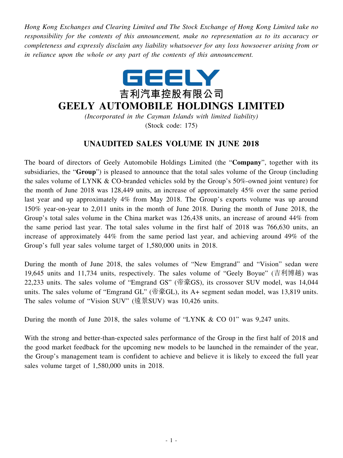*Hong Kong Exchanges and Clearing Limited and The Stock Exchange of Hong Kong Limited take no responsibility for the contents of this announcement, make no representation as to its accuracy or completeness and expressly disclaim any liability whatsoever for any loss howsoever arising from or in reliance upon the whole or any part of the contents of this announcement.*



## **GEELY AUTOMOBILE HOLDINGS LIMITED**

*(Incorporated in the Cayman Islands with limited liability)* (Stock code: 175)

## **UNAUDITED SALES VOLUME IN JUNE 2018**

The board of directors of Geely Automobile Holdings Limited (the "**Company**", together with its subsidiaries, the "**Group**") is pleased to announce that the total sales volume of the Group (including the sales volume of LYNK & CO-branded vehicles sold by the Group's 50%-owned joint venture) for the month of June 2018 was 128,449 units, an increase of approximately 45% over the same period last year and up approximately 4% from May 2018. The Group's exports volume was up around 150% year-on-year to 2,011 units in the month of June 2018. During the month of June 2018, the Group's total sales volume in the China market was 126,438 units, an increase of around 44% from the same period last year. The total sales volume in the first half of 2018 was 766,630 units, an increase of approximately 44% from the same period last year, and achieving around 49% of the Group's full year sales volume target of 1,580,000 units in 2018.

During the month of June 2018, the sales volumes of "New Emgrand" and "Vision" sedan were 19,645 units and 11,734 units, respectively. The sales volume of "Geely Boyue" (吉利博越) was 22,233 units. The sales volume of "Emgrand GS" (帝豪GS), its crossover SUV model, was 14,044 units. The sales volume of "Emgrand GL" (帝豪GL), its A+ segment sedan model, was 13,819 units. The sales volume of "Vision SUV" (遠景SUV) was 10,426 units.

During the month of June 2018, the sales volume of "LYNK & CO 01" was 9,247 units.

With the strong and better-than-expected sales performance of the Group in the first half of 2018 and the good market feedback for the upcoming new models to be launched in the remainder of the year, the Group's management team is confident to achieve and believe it is likely to exceed the full year sales volume target of 1,580,000 units in 2018.